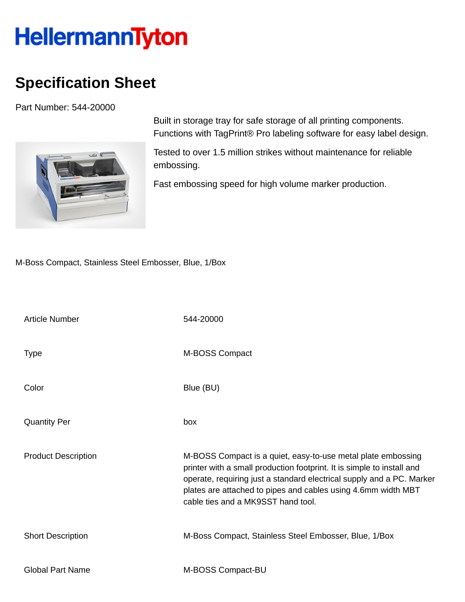## HellermannTyton

## **Specification Sheet**

Part Number: 544-20000



Built in storage tray for safe storage of all printing components. Functions with TagPrint® Pro labeling software for easy label design.

Tested to over 1.5 million strikes without maintenance for reliable embossing.

Fast embossing speed for high volume marker production.

M-Boss Compact, Stainless Steel Embosser, Blue, 1/Box

| <b>Article Number</b>      | 544-20000                                                                                                                                                                                                                                                                                                              |
|----------------------------|------------------------------------------------------------------------------------------------------------------------------------------------------------------------------------------------------------------------------------------------------------------------------------------------------------------------|
| <b>Type</b>                | M-BOSS Compact                                                                                                                                                                                                                                                                                                         |
| Color                      | Blue (BU)                                                                                                                                                                                                                                                                                                              |
| <b>Quantity Per</b>        | box                                                                                                                                                                                                                                                                                                                    |
| <b>Product Description</b> | M-BOSS Compact is a quiet, easy-to-use metal plate embossing<br>printer with a small production footprint. It is simple to install and<br>operate, requiring just a standard electrical supply and a PC. Marker<br>plates are attached to pipes and cables using 4.6mm width MBT<br>cable ties and a MK9SST hand tool. |
| <b>Short Description</b>   | M-Boss Compact, Stainless Steel Embosser, Blue, 1/Box                                                                                                                                                                                                                                                                  |
| <b>Global Part Name</b>    | M-BOSS Compact-BU                                                                                                                                                                                                                                                                                                      |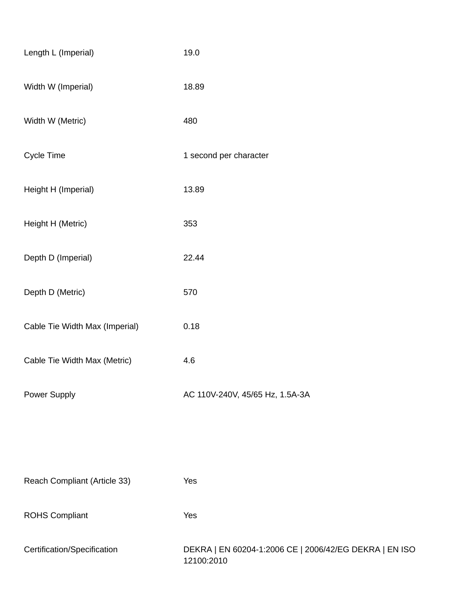| Length L (Imperial)            | 19.0                                                                 |
|--------------------------------|----------------------------------------------------------------------|
| Width W (Imperial)             | 18.89                                                                |
| Width W (Metric)               | 480                                                                  |
| Cycle Time                     | 1 second per character                                               |
| Height H (Imperial)            | 13.89                                                                |
| Height H (Metric)              | 353                                                                  |
| Depth D (Imperial)             | 22.44                                                                |
| Depth D (Metric)               | 570                                                                  |
| Cable Tie Width Max (Imperial) | 0.18                                                                 |
| Cable Tie Width Max (Metric)   | 4.6                                                                  |
| Power Supply                   | AC 110V-240V, 45/65 Hz, 1.5A-3A                                      |
|                                |                                                                      |
|                                |                                                                      |
| Reach Compliant (Article 33)   | Yes                                                                  |
| <b>ROHS Compliant</b>          | Yes                                                                  |
| Certification/Specification    | DEKRA   EN 60204-1:2006 CE   2006/42/EG DEKRA   EN ISO<br>12100:2010 |